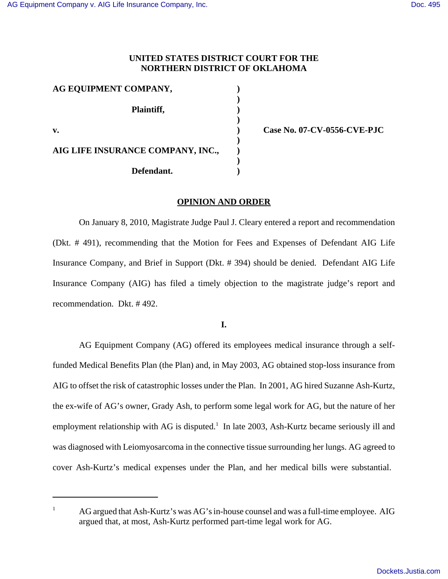# **UNITED STATES DISTRICT COURT FOR THE NORTHERN DISTRICT OF OKLAHOMA**

| AG EQUIPMENT COMPANY,             |  |
|-----------------------------------|--|
| Plaintiff,                        |  |
| v.                                |  |
| AIG LIFE INSURANCE COMPANY, INC., |  |
| Defendant.                        |  |

**v. ) Case No. 07-CV-0556-CVE-PJC**

## **OPINION AND ORDER**

On January 8, 2010, Magistrate Judge Paul J. Cleary entered a report and recommendation (Dkt. # 491), recommending that the Motion for Fees and Expenses of Defendant AIG Life Insurance Company, and Brief in Support (Dkt. # 394) should be denied. Defendant AIG Life Insurance Company (AIG) has filed a timely objection to the magistrate judge's report and recommendation. Dkt. # 492.

**I.**

AG Equipment Company (AG) offered its employees medical insurance through a selffunded Medical Benefits Plan (the Plan) and, in May 2003, AG obtained stop-loss insurance from AIG to offset the risk of catastrophic losses under the Plan. In 2001, AG hired Suzanne Ash-Kurtz, the ex-wife of AG's owner, Grady Ash, to perform some legal work for AG, but the nature of her employment relationship with AG is disputed.<sup>1</sup> In late 2003, Ash-Kurtz became seriously ill and was diagnosed with Leiomyosarcoma in the connective tissue surrounding her lungs. AG agreed to cover Ash-Kurtz's medical expenses under the Plan, and her medical bills were substantial.

 $1 \text{ AG}$  argued that Ash-Kurtz's was AG's in-house counsel and was a full-time employee. AIG argued that, at most, Ash-Kurtz performed part-time legal work for AG.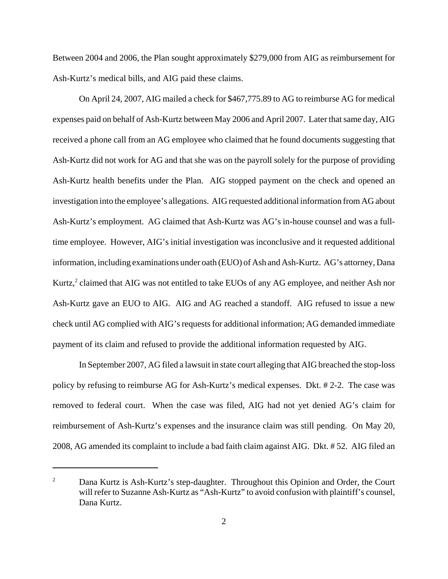Between 2004 and 2006, the Plan sought approximately \$279,000 from AIG as reimbursement for Ash-Kurtz's medical bills, and AIG paid these claims.

On April 24, 2007, AIG mailed a check for \$467,775.89 to AG to reimburse AG for medical expenses paid on behalf of Ash-Kurtz between May 2006 and April 2007. Later that same day, AIG received a phone call from an AG employee who claimed that he found documents suggesting that Ash-Kurtz did not work for AG and that she was on the payroll solely for the purpose of providing Ash-Kurtz health benefits under the Plan. AIG stopped payment on the check and opened an investigation into the employee's allegations. AIG requested additional information from AG about Ash-Kurtz's employment. AG claimed that Ash-Kurtz was AG's in-house counsel and was a fulltime employee. However, AIG's initial investigation was inconclusive and it requested additional information, including examinations under oath (EUO) of Ash and Ash-Kurtz. AG's attorney, Dana Kurtz, $^2$  claimed that AIG was not entitled to take EUOs of any AG employee, and neither Ash nor Ash-Kurtz gave an EUO to AIG. AIG and AG reached a standoff. AIG refused to issue a new check until AG complied with AIG's requests for additional information; AG demanded immediate payment of its claim and refused to provide the additional information requested by AIG.

In September 2007, AG filed a lawsuit in state court alleging that AIG breached the stop-loss policy by refusing to reimburse AG for Ash-Kurtz's medical expenses. Dkt. # 2-2. The case was removed to federal court. When the case was filed, AIG had not yet denied AG's claim for reimbursement of Ash-Kurtz's expenses and the insurance claim was still pending. On May 20, 2008, AG amended its complaint to include a bad faith claim against AIG. Dkt. # 52. AIG filed an

<sup>&</sup>lt;sup>2</sup> Dana Kurtz is Ash-Kurtz's step-daughter. Throughout this Opinion and Order, the Court will refer to Suzanne Ash-Kurtz as "Ash-Kurtz" to avoid confusion with plaintiff's counsel, Dana Kurtz.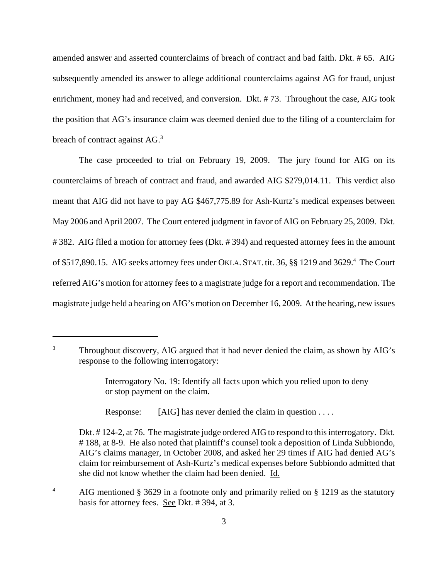amended answer and asserted counterclaims of breach of contract and bad faith. Dkt. # 65. AIG subsequently amended its answer to allege additional counterclaims against AG for fraud, unjust enrichment, money had and received, and conversion. Dkt. # 73. Throughout the case, AIG took the position that AG's insurance claim was deemed denied due to the filing of a counterclaim for breach of contract against AG.<sup>3</sup>

The case proceeded to trial on February 19, 2009. The jury found for AIG on its counterclaims of breach of contract and fraud, and awarded AIG \$279,014.11. This verdict also meant that AIG did not have to pay AG \$467,775.89 for Ash-Kurtz's medical expenses between May 2006 and April 2007. The Court entered judgment in favor of AIG on February 25, 2009. Dkt. # 382. AIG filed a motion for attorney fees (Dkt. # 394) and requested attorney fees in the amount of \$517,890.15. AIG seeks attorney fees under OKLA. STAT. tit. 36, §§ 1219 and 3629.<sup>4</sup> The Court referred AIG's motion for attorney fees to a magistrate judge for a report and recommendation. The magistrate judge held a hearing on AIG's motion on December 16, 2009. At the hearing, new issues

Response: [AIG] has never denied the claim in question . . . .

<sup>&</sup>lt;sup>3</sup> Throughout discovery, AIG argued that it had never denied the claim, as shown by AIG's response to the following interrogatory:

Interrogatory No. 19: Identify all facts upon which you relied upon to deny or stop payment on the claim.

Dkt. # 124-2, at 76. The magistrate judge ordered AIG to respond to this interrogatory. Dkt. # 188, at 8-9. He also noted that plaintiff's counsel took a deposition of Linda Subbiondo, AIG's claims manager, in October 2008, and asked her 29 times if AIG had denied AG's claim for reimbursement of Ash-Kurtz's medical expenses before Subbiondo admitted that she did not know whether the claim had been denied. Id.

<sup>&</sup>lt;sup>4</sup> AIG mentioned § 3629 in a footnote only and primarily relied on § 1219 as the statutory basis for attorney fees. See Dkt. # 394, at 3.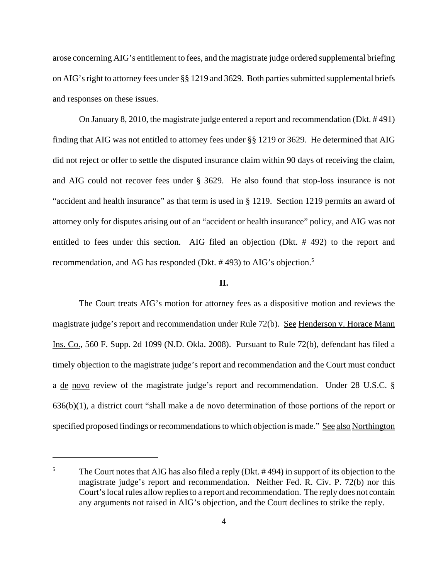arose concerning AIG's entitlement to fees, and the magistrate judge ordered supplemental briefing on AIG's right to attorney fees under §§ 1219 and 3629. Both parties submitted supplemental briefs and responses on these issues.

On January 8, 2010, the magistrate judge entered a report and recommendation (Dkt. # 491) finding that AIG was not entitled to attorney fees under §§ 1219 or 3629. He determined that AIG did not reject or offer to settle the disputed insurance claim within 90 days of receiving the claim, and AIG could not recover fees under § 3629. He also found that stop-loss insurance is not "accident and health insurance" as that term is used in § 1219. Section 1219 permits an award of attorney only for disputes arising out of an "accident or health insurance" policy, and AIG was not entitled to fees under this section. AIG filed an objection (Dkt. # 492) to the report and recommendation, and AG has responded (Dkt. # 493) to AIG's objection.<sup>5</sup>

## **II.**

The Court treats AIG's motion for attorney fees as a dispositive motion and reviews the magistrate judge's report and recommendation under Rule 72(b). See Henderson v. Horace Mann Ins. Co., 560 F. Supp. 2d 1099 (N.D. Okla. 2008). Pursuant to Rule 72(b), defendant has filed a timely objection to the magistrate judge's report and recommendation and the Court must conduct a de novo review of the magistrate judge's report and recommendation. Under 28 U.S.C. § 636(b)(1), a district court "shall make a de novo determination of those portions of the report or specified proposed findings or recommendations to which objection is made." See also Northington

<sup>&</sup>lt;sup>5</sup> The Court notes that AIG has also filed a reply (Dkt.  $\#$  494) in support of its objection to the magistrate judge's report and recommendation. Neither Fed. R. Civ. P. 72(b) nor this Court's local rules allow replies to a report and recommendation. The reply does not contain any arguments not raised in AIG's objection, and the Court declines to strike the reply.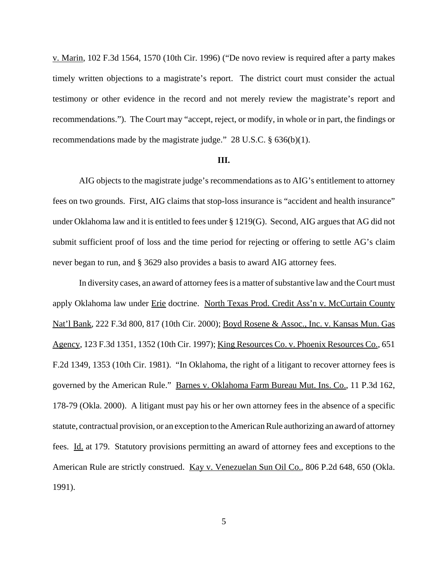v. Marin, 102 F.3d 1564, 1570 (10th Cir. 1996) ("De novo review is required after a party makes timely written objections to a magistrate's report. The district court must consider the actual testimony or other evidence in the record and not merely review the magistrate's report and recommendations."). The Court may "accept, reject, or modify, in whole or in part, the findings or recommendations made by the magistrate judge." 28 U.S.C. § 636(b)(1).

### **III.**

AIG objects to the magistrate judge's recommendations as to AIG's entitlement to attorney fees on two grounds. First, AIG claims that stop-loss insurance is "accident and health insurance" under Oklahoma law and it is entitled to fees under § 1219(G). Second, AIG argues that AG did not submit sufficient proof of loss and the time period for rejecting or offering to settle AG's claim never began to run, and § 3629 also provides a basis to award AIG attorney fees.

In diversity cases, an award of attorney fees is a matter of substantive law and the Court must apply Oklahoma law under Erie doctrine. North Texas Prod. Credit Ass'n v. McCurtain County Nat'l Bank, 222 F.3d 800, 817 (10th Cir. 2000); Boyd Rosene & Assoc., Inc. v. Kansas Mun. Gas Agency, 123 F.3d 1351, 1352 (10th Cir. 1997); King Resources Co. v. Phoenix Resources Co., 651 F.2d 1349, 1353 (10th Cir. 1981). "In Oklahoma, the right of a litigant to recover attorney fees is governed by the American Rule." Barnes v. Oklahoma Farm Bureau Mut. Ins. Co., 11 P.3d 162, 178-79 (Okla. 2000). A litigant must pay his or her own attorney fees in the absence of a specific statute, contractual provision, or an exception to the American Rule authorizing an award of attorney fees. Id. at 179. Statutory provisions permitting an award of attorney fees and exceptions to the American Rule are strictly construed. Kay v. Venezuelan Sun Oil Co., 806 P.2d 648, 650 (Okla. 1991).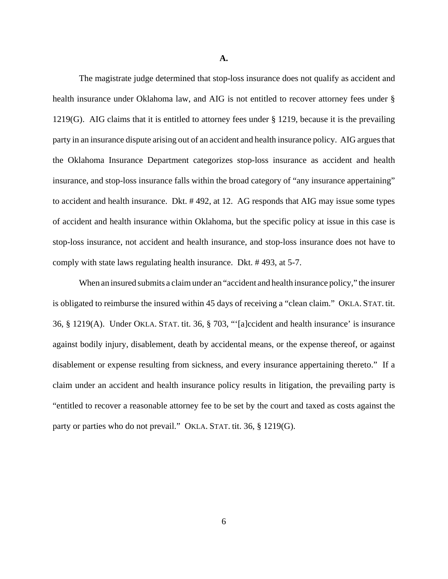**A.**

The magistrate judge determined that stop-loss insurance does not qualify as accident and health insurance under Oklahoma law, and AIG is not entitled to recover attorney fees under § 1219(G). AIG claims that it is entitled to attorney fees under § 1219, because it is the prevailing party in an insurance dispute arising out of an accident and health insurance policy. AIG argues that the Oklahoma Insurance Department categorizes stop-loss insurance as accident and health insurance, and stop-loss insurance falls within the broad category of "any insurance appertaining" to accident and health insurance. Dkt. # 492, at 12. AG responds that AIG may issue some types of accident and health insurance within Oklahoma, but the specific policy at issue in this case is stop-loss insurance, not accident and health insurance, and stop-loss insurance does not have to comply with state laws regulating health insurance. Dkt. # 493, at 5-7.

When an insured submits a claim under an "accident and health insurance policy," the insurer is obligated to reimburse the insured within 45 days of receiving a "clean claim." OKLA. STAT. tit. 36, § 1219(A). Under OKLA. STAT. tit. 36, § 703, "'[a]ccident and health insurance' is insurance against bodily injury, disablement, death by accidental means, or the expense thereof, or against disablement or expense resulting from sickness, and every insurance appertaining thereto." If a claim under an accident and health insurance policy results in litigation, the prevailing party is "entitled to recover a reasonable attorney fee to be set by the court and taxed as costs against the party or parties who do not prevail." OKLA. STAT. tit. 36, § 1219(G).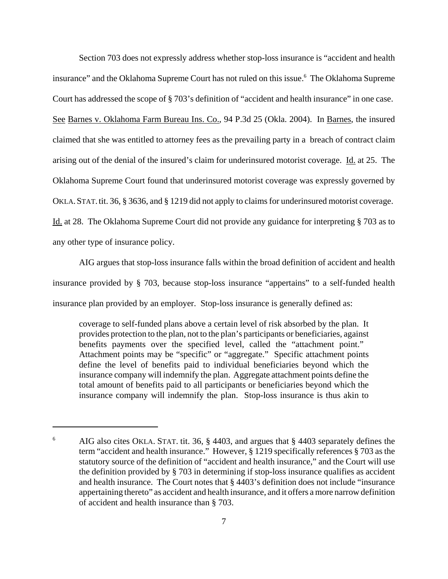Section 703 does not expressly address whether stop-loss insurance is "accident and health insurance" and the Oklahoma Supreme Court has not ruled on this issue.<sup>6</sup> The Oklahoma Supreme Court has addressed the scope of § 703's definition of "accident and health insurance" in one case. See Barnes v. Oklahoma Farm Bureau Ins. Co., 94 P.3d 25 (Okla. 2004). In Barnes, the insured claimed that she was entitled to attorney fees as the prevailing party in a breach of contract claim arising out of the denial of the insured's claim for underinsured motorist coverage. Id. at 25. The Oklahoma Supreme Court found that underinsured motorist coverage was expressly governed by OKLA.STAT.tit. 36, § 3636, and § 1219 did not apply to claims for underinsured motorist coverage. Id. at 28. The Oklahoma Supreme Court did not provide any guidance for interpreting § 703 as to any other type of insurance policy.

AIG argues that stop-loss insurance falls within the broad definition of accident and health insurance provided by § 703, because stop-loss insurance "appertains" to a self-funded health insurance plan provided by an employer. Stop-loss insurance is generally defined as:

coverage to self-funded plans above a certain level of risk absorbed by the plan. It provides protection to the plan, not to the plan's participants or beneficiaries, against benefits payments over the specified level, called the "attachment point." Attachment points may be "specific" or "aggregate." Specific attachment points define the level of benefits paid to individual beneficiaries beyond which the insurance company will indemnify the plan. Aggregate attachment points define the total amount of benefits paid to all participants or beneficiaries beyond which the insurance company will indemnify the plan. Stop-loss insurance is thus akin to

<sup>&</sup>lt;sup>6</sup> AIG also cites OKLA. STAT. tit. 36, § 4403, and argues that § 4403 separately defines the term "accident and health insurance." However, § 1219 specifically references § 703 as the statutory source of the definition of "accident and health insurance," and the Court will use the definition provided by § 703 in determining if stop-loss insurance qualifies as accident and health insurance. The Court notes that § 4403's definition does not include "insurance appertaining thereto" as accident and health insurance, and it offers a more narrow definition of accident and health insurance than § 703.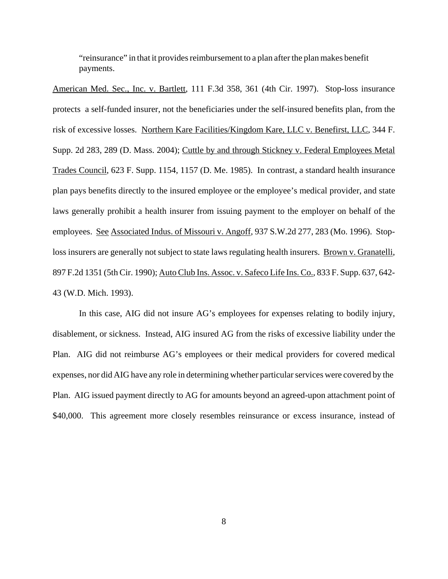"reinsurance" in that it provides reimbursement to a plan after the plan makes benefit payments.

American Med. Sec., Inc. v. Bartlett, 111 F.3d 358, 361 (4th Cir. 1997). Stop-loss insurance protects a self-funded insurer, not the beneficiaries under the self-insured benefits plan, from the risk of excessive losses. Northern Kare Facilities/Kingdom Kare, LLC v. Benefirst, LLC, 344 F. Supp. 2d 283, 289 (D. Mass. 2004); Cuttle by and through Stickney v. Federal Employees Metal Trades Council, 623 F. Supp. 1154, 1157 (D. Me. 1985). In contrast, a standard health insurance plan pays benefits directly to the insured employee or the employee's medical provider, and state laws generally prohibit a health insurer from issuing payment to the employer on behalf of the employees. See Associated Indus. of Missouri v. Angoff, 937 S.W.2d 277, 283 (Mo. 1996). Stoploss insurers are generally not subject to state laws regulating health insurers. Brown v. Granatelli, 897 F.2d 1351 (5th Cir. 1990); Auto Club Ins. Assoc. v. Safeco Life Ins. Co., 833 F. Supp. 637, 642- 43 (W.D. Mich. 1993).

In this case, AIG did not insure AG's employees for expenses relating to bodily injury, disablement, or sickness. Instead, AIG insured AG from the risks of excessive liability under the Plan. AIG did not reimburse AG's employees or their medical providers for covered medical expenses, nor did AIG have any role in determining whether particular services were covered by the Plan. AIG issued payment directly to AG for amounts beyond an agreed-upon attachment point of \$40,000. This agreement more closely resembles reinsurance or excess insurance, instead of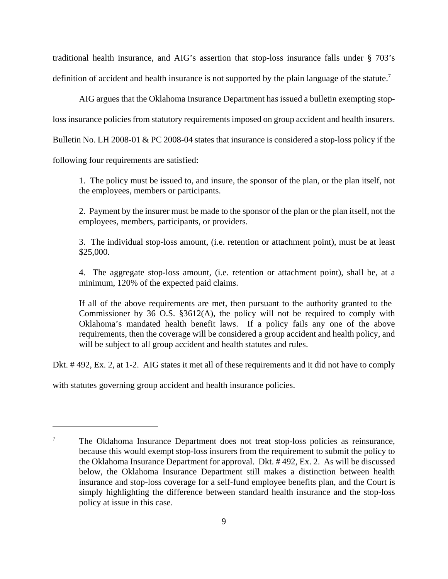traditional health insurance, and AIG's assertion that stop-loss insurance falls under § 703's definition of accident and health insurance is not supported by the plain language of the statute.<sup>7</sup>

AIG argues that the Oklahoma Insurance Department has issued a bulletin exempting stoploss insurance policies from statutory requirements imposed on group accident and health insurers. Bulletin No. LH 2008-01 & PC 2008-04 states that insurance is considered a stop-loss policy if the following four requirements are satisfied:

1. The policy must be issued to, and insure, the sponsor of the plan, or the plan itself, not the employees, members or participants.

2. Payment by the insurer must be made to the sponsor of the plan or the plan itself, not the employees, members, participants, or providers.

3. The individual stop-loss amount, (i.e. retention or attachment point), must be at least \$25,000.

4. The aggregate stop-loss amount, (i.e. retention or attachment point), shall be, at a minimum, 120% of the expected paid claims.

If all of the above requirements are met, then pursuant to the authority granted to the Commissioner by 36 O.S. §3612(A), the policy will not be required to comply with Oklahoma's mandated health benefit laws. If a policy fails any one of the above requirements, then the coverage will be considered a group accident and health policy, and will be subject to all group accident and health statutes and rules.

Dkt. # 492, Ex. 2, at 1-2. AIG states it met all of these requirements and it did not have to comply

with statutes governing group accident and health insurance policies.

<sup>&</sup>lt;sup>7</sup> The Oklahoma Insurance Department does not treat stop-loss policies as reinsurance, because this would exempt stop-loss insurers from the requirement to submit the policy to the Oklahoma Insurance Department for approval. Dkt. # 492, Ex. 2. As will be discussed below, the Oklahoma Insurance Department still makes a distinction between health insurance and stop-loss coverage for a self-fund employee benefits plan, and the Court is simply highlighting the difference between standard health insurance and the stop-loss policy at issue in this case.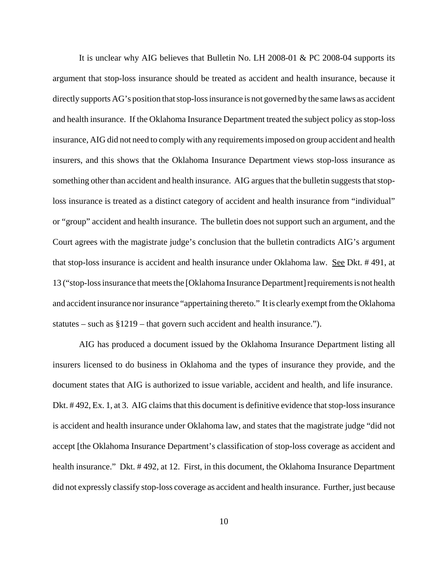It is unclear why AIG believes that Bulletin No. LH 2008-01 & PC 2008-04 supports its argument that stop-loss insurance should be treated as accident and health insurance, because it directly supports AG's position that stop-loss insurance is not governed by the same laws as accident and health insurance. If the Oklahoma Insurance Department treated the subject policy as stop-loss insurance, AIG did not need to comply with any requirements imposed on group accident and health insurers, and this shows that the Oklahoma Insurance Department views stop-loss insurance as something other than accident and health insurance. AIG argues that the bulletin suggests that stoploss insurance is treated as a distinct category of accident and health insurance from "individual" or "group" accident and health insurance. The bulletin does not support such an argument, and the Court agrees with the magistrate judge's conclusion that the bulletin contradicts AIG's argument that stop-loss insurance is accident and health insurance under Oklahoma law. See Dkt. # 491, at 13 ("stop-loss insurance that meets the [Oklahoma Insurance Department] requirements is not health and accident insurance nor insurance "appertaining thereto." It is clearly exempt from the Oklahoma statutes – such as §1219 – that govern such accident and health insurance.").

AIG has produced a document issued by the Oklahoma Insurance Department listing all insurers licensed to do business in Oklahoma and the types of insurance they provide, and the document states that AIG is authorized to issue variable, accident and health, and life insurance. Dkt. # 492, Ex. 1, at 3. AIG claims that this document is definitive evidence that stop-loss insurance is accident and health insurance under Oklahoma law, and states that the magistrate judge "did not accept [the Oklahoma Insurance Department's classification of stop-loss coverage as accident and health insurance." Dkt. #492, at 12. First, in this document, the Oklahoma Insurance Department did not expressly classify stop-loss coverage as accident and health insurance. Further, just because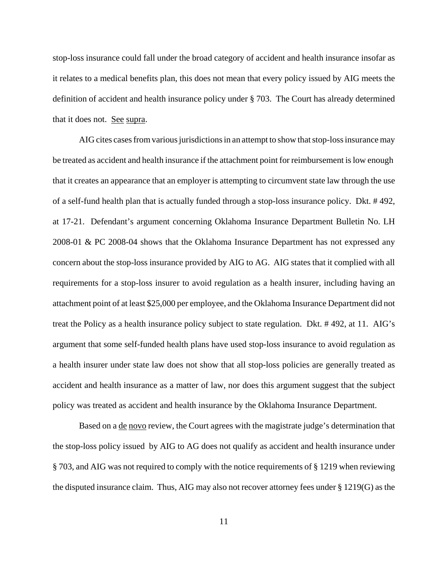stop-loss insurance could fall under the broad category of accident and health insurance insofar as it relates to a medical benefits plan, this does not mean that every policy issued by AIG meets the definition of accident and health insurance policy under § 703. The Court has already determined that it does not. See supra.

AIG cites cases from various jurisdictions in an attempt to show that stop-loss insurance may be treated as accident and health insurance if the attachment point for reimbursement is low enough that it creates an appearance that an employer is attempting to circumvent state law through the use of a self-fund health plan that is actually funded through a stop-loss insurance policy. Dkt. # 492, at 17-21. Defendant's argument concerning Oklahoma Insurance Department Bulletin No. LH 2008-01 & PC 2008-04 shows that the Oklahoma Insurance Department has not expressed any concern about the stop-loss insurance provided by AIG to AG. AIG states that it complied with all requirements for a stop-loss insurer to avoid regulation as a health insurer, including having an attachment point of at least \$25,000 per employee, and the Oklahoma Insurance Department did not treat the Policy as a health insurance policy subject to state regulation. Dkt. # 492, at 11. AIG's argument that some self-funded health plans have used stop-loss insurance to avoid regulation as a health insurer under state law does not show that all stop-loss policies are generally treated as accident and health insurance as a matter of law, nor does this argument suggest that the subject policy was treated as accident and health insurance by the Oklahoma Insurance Department.

Based on a <u>de novo</u> review, the Court agrees with the magistrate judge's determination that the stop-loss policy issued by AIG to AG does not qualify as accident and health insurance under § 703, and AIG was not required to comply with the notice requirements of § 1219 when reviewing the disputed insurance claim. Thus, AIG may also not recover attorney fees under § 1219(G) as the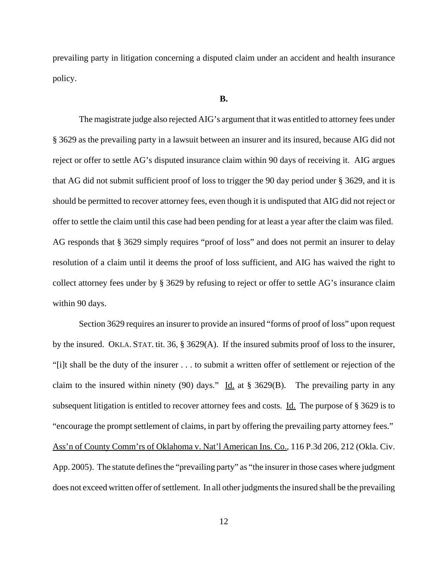prevailing party in litigation concerning a disputed claim under an accident and health insurance policy.

#### **B.**

The magistrate judge also rejected AIG's argument that it was entitled to attorney fees under § 3629 as the prevailing party in a lawsuit between an insurer and its insured, because AIG did not reject or offer to settle AG's disputed insurance claim within 90 days of receiving it. AIG argues that AG did not submit sufficient proof of loss to trigger the 90 day period under § 3629, and it is should be permitted to recover attorney fees, even though it is undisputed that AIG did not reject or offer to settle the claim until this case had been pending for at least a year after the claim was filed. AG responds that § 3629 simply requires "proof of loss" and does not permit an insurer to delay resolution of a claim until it deems the proof of loss sufficient, and AIG has waived the right to collect attorney fees under by § 3629 by refusing to reject or offer to settle AG's insurance claim within 90 days.

Section 3629 requires an insurer to provide an insured "forms of proof of loss" upon request by the insured. OKLA. STAT. tit. 36, § 3629(A). If the insured submits proof of loss to the insurer, "[i]t shall be the duty of the insurer . . . to submit a written offer of settlement or rejection of the claim to the insured within ninety (90) days." Id. at  $\S 3629(B)$ . The prevailing party in any subsequent litigation is entitled to recover attorney fees and costs. Id. The purpose of § 3629 is to "encourage the prompt settlement of claims, in part by offering the prevailing party attorney fees." Ass'n of County Comm'rs of Oklahoma v. Nat'l American Ins. Co., 116 P.3d 206, 212 (Okla. Civ. App. 2005). The statute defines the "prevailing party" as "the insurer in those cases where judgment does not exceed written offer of settlement. In all other judgments the insured shall be the prevailing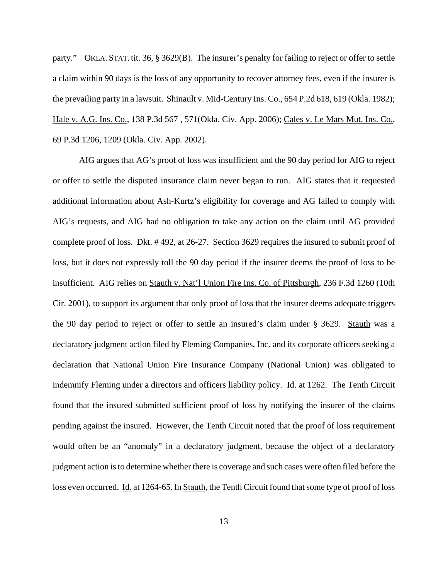party." OKLA. STAT. tit. 36, § 3629(B). The insurer's penalty for failing to reject or offer to settle a claim within 90 days is the loss of any opportunity to recover attorney fees, even if the insurer is the prevailing party in a lawsuit. Shinault v. Mid-Century Ins. Co., 654 P.2d 618, 619 (Okla. 1982); Hale v. A.G. Ins. Co., 138 P.3d 567 , 571(Okla. Civ. App. 2006); Cales v. Le Mars Mut. Ins. Co., 69 P.3d 1206, 1209 (Okla. Civ. App. 2002).

AIG argues that AG's proof of loss was insufficient and the 90 day period for AIG to reject or offer to settle the disputed insurance claim never began to run. AIG states that it requested additional information about Ash-Kurtz's eligibility for coverage and AG failed to comply with AIG's requests, and AIG had no obligation to take any action on the claim until AG provided complete proof of loss. Dkt. # 492, at 26-27. Section 3629 requires the insured to submit proof of loss, but it does not expressly toll the 90 day period if the insurer deems the proof of loss to be insufficient. AIG relies on Stauth v. Nat'l Union Fire Ins. Co. of Pittsburgh, 236 F.3d 1260 (10th Cir. 2001), to support its argument that only proof of loss that the insurer deems adequate triggers the 90 day period to reject or offer to settle an insured's claim under § 3629. Stauth was a declaratory judgment action filed by Fleming Companies, Inc. and its corporate officers seeking a declaration that National Union Fire Insurance Company (National Union) was obligated to indemnify Fleming under a directors and officers liability policy. Id. at 1262. The Tenth Circuit found that the insured submitted sufficient proof of loss by notifying the insurer of the claims pending against the insured. However, the Tenth Circuit noted that the proof of loss requirement would often be an "anomaly" in a declaratory judgment, because the object of a declaratory judgment action is to determine whether there is coverage and such cases were often filed before the loss even occurred. Id. at 1264-65. In Stauth, the Tenth Circuit found that some type of proof of loss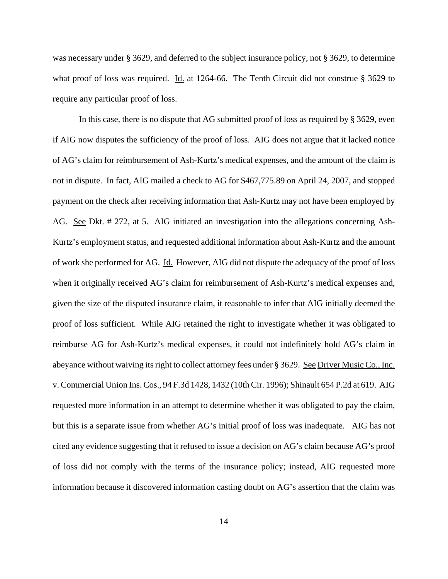was necessary under § 3629, and deferred to the subject insurance policy, not § 3629, to determine what proof of loss was required. <u>Id.</u> at 1264-66. The Tenth Circuit did not construe § 3629 to require any particular proof of loss.

In this case, there is no dispute that AG submitted proof of loss as required by § 3629, even if AIG now disputes the sufficiency of the proof of loss. AIG does not argue that it lacked notice of AG's claim for reimbursement of Ash-Kurtz's medical expenses, and the amount of the claim is not in dispute. In fact, AIG mailed a check to AG for \$467,775.89 on April 24, 2007, and stopped payment on the check after receiving information that Ash-Kurtz may not have been employed by AG. See Dkt. # 272, at 5. AIG initiated an investigation into the allegations concerning Ash-Kurtz's employment status, and requested additional information about Ash-Kurtz and the amount of work she performed for AG. Id. However, AIG did not dispute the adequacy of the proof of loss when it originally received AG's claim for reimbursement of Ash-Kurtz's medical expenses and, given the size of the disputed insurance claim, it reasonable to infer that AIG initially deemed the proof of loss sufficient. While AIG retained the right to investigate whether it was obligated to reimburse AG for Ash-Kurtz's medical expenses, it could not indefinitely hold AG's claim in abeyance without waiving its right to collect attorney fees under § 3629. See Driver Music Co., Inc. v. Commercial Union Ins. Cos., 94 F.3d 1428, 1432 (10th Cir. 1996); Shinault 654 P.2d at 619. AIG requested more information in an attempt to determine whether it was obligated to pay the claim, but this is a separate issue from whether AG's initial proof of loss was inadequate. AIG has not cited any evidence suggesting that it refused to issue a decision on AG's claim because AG's proof of loss did not comply with the terms of the insurance policy; instead, AIG requested more information because it discovered information casting doubt on AG's assertion that the claim was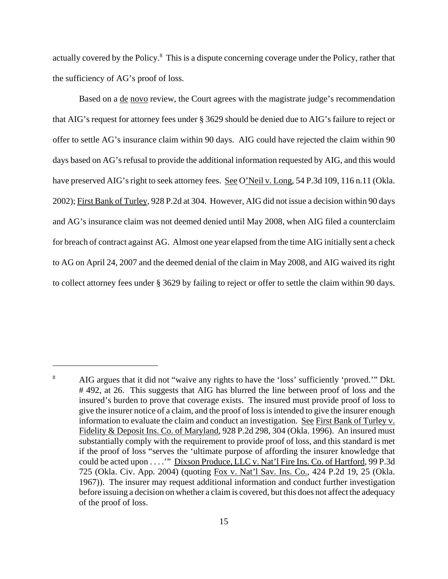actually covered by the Policy.<sup>8</sup> This is a dispute concerning coverage under the Policy, rather that the sufficiency of AG's proof of loss.

Based on a <u>de novo</u> review, the Court agrees with the magistrate judge's recommendation that AIG's request for attorney fees under § 3629 should be denied due to AIG's failure to reject or offer to settle AG's insurance claim within 90 days. AIG could have rejected the claim within 90 days based on AG's refusal to provide the additional information requested by AIG, and this would have preserved AIG's right to seek attorney fees. See O'Neil v. Long, 54 P.3d 109, 116 n.11 (Okla. 2002); First Bank of Turley, 928 P.2d at 304. However, AIG did not issue a decision within 90 days and AG's insurance claim was not deemed denied until May 2008, when AIG filed a counterclaim for breach of contract against AG. Almost one year elapsed from the time AIG initially sent a check to AG on April 24, 2007 and the deemed denial of the claim in May 2008, and AIG waived its right to collect attorney fees under § 3629 by failing to reject or offer to settle the claim within 90 days.

<sup>&</sup>lt;sup>8</sup> AIG argues that it did not "waive any rights to have the 'loss' sufficiently 'proved.'" Dkt. # 492, at 26. This suggests that AIG has blurred the line between proof of loss and the insured's burden to prove that coverage exists. The insured must provide proof of loss to give the insurer notice of a claim, and the proof of loss is intended to give the insurer enough information to evaluate the claim and conduct an investigation. See First Bank of Turley v. Fidelity & Deposit Ins. Co. of Maryland, 928 P.2d 298, 304 (Okla. 1996). An insured must substantially comply with the requirement to provide proof of loss, and this standard is met if the proof of loss "serves the 'ultimate purpose of affording the insurer knowledge that could be acted upon . . . .'" Dixson Produce, LLC v. Nat'l Fire Ins. Co. of Hartford, 99 P.3d 725 (Okla. Civ. App. 2004) (quoting Fox v. Nat'l Sav. Ins. Co., 424 P.2d 19, 25 (Okla. 1967)). The insurer may request additional information and conduct further investigation before issuing a decision on whether a claim is covered, but this does not affect the adequacy of the proof of loss.